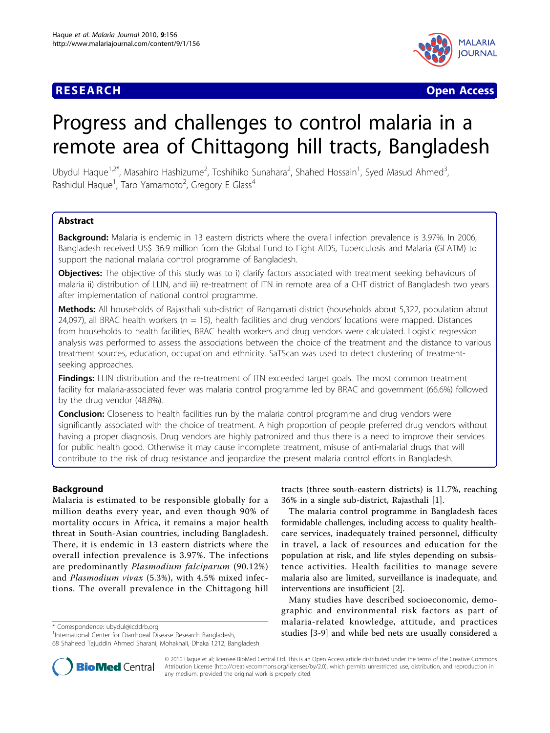

**RESEARCH CONTROL** CONTROL CONTROL CONTROL CONTROL CONTROL CONTROL CONTROL CONTROL CONTROL CONTROL CONTROL CONTROL CONTROL CONTROL CONTROL CONTROL CONTROL CONTROL CONTROL CONTROL CONTROL CONTROL CONTROL CONTROL CONTROL CON

# Progress and challenges to control malaria in a remote area of Chittagong hill tracts, Bangladesh

Ubydul Haque<sup>1,2\*</sup>, Masahiro Hashizume<sup>2</sup>, Toshihiko Sunahara<sup>2</sup>, Shahed Hossain<sup>1</sup>, Syed Masud Ahmed<sup>3</sup> , Rashidul Haque<sup>1</sup>, Taro Yamamoto<sup>2</sup>, Gregory E Glass<sup>4</sup>

# Abstract

Background: Malaria is endemic in 13 eastern districts where the overall infection prevalence is 3.97%. In 2006, Bangladesh received US\$ 36.9 million from the Global Fund to Fight AIDS, Tuberculosis and Malaria (GFATM) to support the national malaria control programme of Bangladesh.

Objectives: The objective of this study was to i) clarify factors associated with treatment seeking behaviours of malaria ii) distribution of LLIN, and iii) re-treatment of ITN in remote area of a CHT district of Bangladesh two years after implementation of national control programme.

Methods: All households of Rajasthali sub-district of Rangamati district (households about 5,322, population about 24,097), all BRAC health workers ( $n = 15$ ), health facilities and drug vendors' locations were mapped. Distances from households to health facilities, BRAC health workers and drug vendors were calculated. Logistic regression analysis was performed to assess the associations between the choice of the treatment and the distance to various treatment sources, education, occupation and ethnicity. SaTScan was used to detect clustering of treatmentseeking approaches.

**Findings:** LLIN distribution and the re-treatment of ITN exceeded target goals. The most common treatment facility for malaria-associated fever was malaria control programme led by BRAC and government (66.6%) followed by the drug vendor (48.8%).

**Conclusion:** Closeness to health facilities run by the malaria control programme and drug vendors were significantly associated with the choice of treatment. A high proportion of people preferred drug vendors without having a proper diagnosis. Drug vendors are highly patronized and thus there is a need to improve their services for public health good. Otherwise it may cause incomplete treatment, misuse of anti-malarial drugs that will contribute to the risk of drug resistance and jeopardize the present malaria control efforts in Bangladesh.

# Background

Malaria is estimated to be responsible globally for a million deaths every year, and even though 90% of mortality occurs in Africa, it remains a major health threat in South-Asian countries, including Bangladesh. There, it is endemic in 13 eastern districts where the overall infection prevalence is 3.97%. The infections are predominantly Plasmodium falciparum (90.12%) and Plasmodium vivax (5.3%), with 4.5% mixed infections. The overall prevalence in the Chittagong hill

tracts (three south-eastern districts) is 11.7%, reaching 36% in a single sub-district, Rajasthali [\[1](#page-6-0)].

The malaria control programme in Bangladesh faces formidable challenges, including access to quality healthcare services, inadequately trained personnel, difficulty in travel, a lack of resources and education for the population at risk, and life styles depending on subsistence activities. Health facilities to manage severe malaria also are limited, surveillance is inadequate, and interventions are insufficient [\[2](#page-6-0)].

Many studies have described socioeconomic, demographic and environmental risk factors as part of malaria-related knowledge, attitude, and practices studies [\[3](#page-6-0)-[9\]](#page-6-0) and while bed nets are usually considered a \* Correspondence: [ubydul@icddrb.org](mailto:ubydul@icddrb.org)<br>
<sup>1</sup>International Center for Diarrhoeal Disease Research Bangladesh. **1993 studies** [3-9] and while bed nets are usually consi



© 2010 Haque et al; licensee BioMed Central Ltd. This is an Open Access article distributed under the terms of the Creative Commons Attribution License [\(http://creativecommons.org/licenses/by/2.0](http://creativecommons.org/licenses/by/2.0)), which permits unrestricted use, distribution, and reproduction in any medium, provided the original work is properly cited.

<sup>&</sup>lt;sup>1</sup>International Center for Diarrhoeal Disease Research Bangladesh, 68 Shaheed Tajuddin Ahmed Sharani, Mohakhali, Dhaka 1212, Bangladesh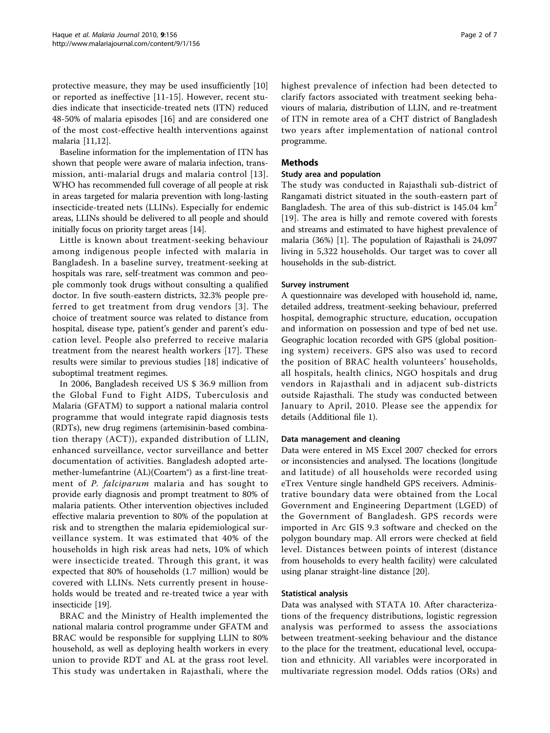protective measure, they may be used insufficiently [\[10](#page-6-0)] or reported as ineffective [\[11](#page-6-0)-[15](#page-6-0)]. However, recent studies indicate that insecticide-treated nets (ITN) reduced 48-50% of malaria episodes [[16\]](#page-6-0) and are considered one of the most cost-effective health interventions against malaria [\[11,12\]](#page-6-0).

Baseline information for the implementation of ITN has shown that people were aware of malaria infection, transmission, anti-malarial drugs and malaria control [[13\]](#page-6-0). WHO has recommended full coverage of all people at risk in areas targeted for malaria prevention with long-lasting insecticide-treated nets (LLINs). Especially for endemic areas, LLINs should be delivered to all people and should initially focus on priority target areas [[14](#page-6-0)].

Little is known about treatment-seeking behaviour among indigenous people infected with malaria in Bangladesh. In a baseline survey, treatment-seeking at hospitals was rare, self-treatment was common and people commonly took drugs without consulting a qualified doctor. In five south-eastern districts, 32.3% people preferred to get treatment from drug vendors [[3](#page-6-0)]. The choice of treatment source was related to distance from hospital, disease type, patient's gender and parent's education level. People also preferred to receive malaria treatment from the nearest health workers [\[17](#page-6-0)]. These results were similar to previous studies [[18\]](#page-6-0) indicative of suboptimal treatment regimes.

In 2006, Bangladesh received US \$ 36.9 million from the Global Fund to Fight AIDS, Tuberculosis and Malaria (GFATM) to support a national malaria control programme that would integrate rapid diagnosis tests (RDTs), new drug regimens (artemisinin-based combination therapy (ACT)), expanded distribution of LLIN, enhanced surveillance, vector surveillance and better documentation of activities. Bangladesh adopted artemether-lumefantrine (AL)(Coartem®) as a first-line treatment of P. falciparum malaria and has sought to provide early diagnosis and prompt treatment to 80% of malaria patients. Other intervention objectives included effective malaria prevention to 80% of the population at risk and to strengthen the malaria epidemiological surveillance system. It was estimated that 40% of the households in high risk areas had nets, 10% of which were insecticide treated. Through this grant, it was expected that 80% of households (1.7 million) would be covered with LLINs. Nets currently present in households would be treated and re-treated twice a year with insecticide [[19](#page-6-0)].

BRAC and the Ministry of Health implemented the national malaria control programme under GFATM and BRAC would be responsible for supplying LLIN to 80% household, as well as deploying health workers in every union to provide RDT and AL at the grass root level. This study was undertaken in Rajasthali, where the highest prevalence of infection had been detected to clarify factors associated with treatment seeking behaviours of malaria, distribution of LLIN, and re-treatment of ITN in remote area of a CHT district of Bangladesh two years after implementation of national control programme.

# Methods

#### Study area and population

The study was conducted in Rajasthali sub-district of Rangamati district situated in the south-eastern part of Bangladesh. The area of this sub-district is  $145.04 \text{ km}^2$ [[19](#page-6-0)]. The area is hilly and remote covered with forests and streams and estimated to have highest prevalence of malaria (36%) [[1\]](#page-6-0). The population of Rajasthali is 24,097 living in 5,322 households. Our target was to cover all households in the sub-district.

# Survey instrument

A questionnaire was developed with household id, name, detailed address, treatment-seeking behaviour, preferred hospital, demographic structure, education, occupation and information on possession and type of bed net use. Geographic location recorded with GPS (global positioning system) receivers. GPS also was used to record the position of BRAC health volunteers' households, all hospitals, health clinics, NGO hospitals and drug vendors in Rajasthali and in adjacent sub-districts outside Rajasthali. The study was conducted between January to April, 2010. Please see the appendix for details (Additional file [1\)](#page-6-0).

#### Data management and cleaning

Data were entered in MS Excel 2007 checked for errors or inconsistencies and analysed. The locations (longitude and latitude) of all households were recorded using eTrex Venture single handheld GPS receivers. Administrative boundary data were obtained from the Local Government and Engineering Department (LGED) of the Government of Bangladesh. GPS records were imported in Arc GIS 9.3 software and checked on the polygon boundary map. All errors were checked at field level. Distances between points of interest (distance from households to every health facility) were calculated using planar straight-line distance [\[20](#page-6-0)].

#### Statistical analysis

Data was analysed with STATA 10. After characterizations of the frequency distributions, logistic regression analysis was performed to assess the associations between treatment-seeking behaviour and the distance to the place for the treatment, educational level, occupation and ethnicity. All variables were incorporated in multivariate regression model. Odds ratios (ORs) and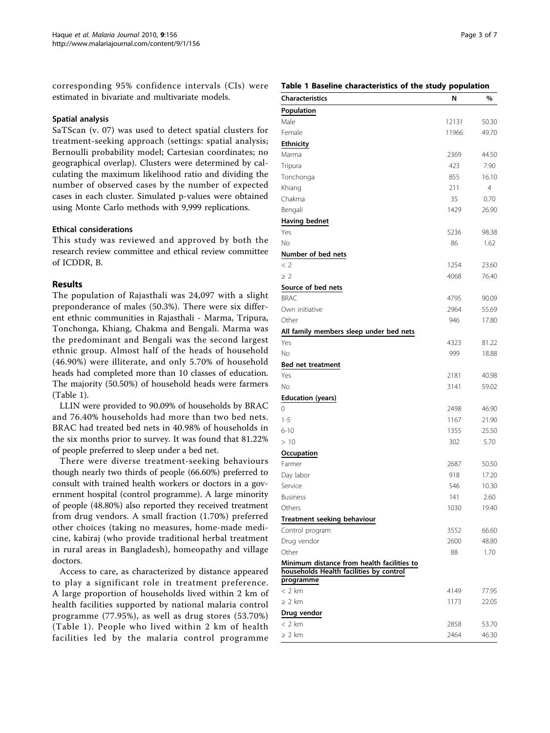corresponding 95% confidence intervals (CIs) were estimated in bivariate and multivariate models.

#### Spatial analysis

SaTScan (v. 07) was used to detect spatial clusters for treatment-seeking approach (settings: spatial analysis; Bernoulli probability model; Cartesian coordinates; no geographical overlap). Clusters were determined by calculating the maximum likelihood ratio and dividing the number of observed cases by the number of expected cases in each cluster. Simulated p-values were obtained using Monte Carlo methods with 9,999 replications.

#### Ethical considerations

This study was reviewed and approved by both the research review committee and ethical review committee of ICDDR, B.

# Results

The population of Rajasthali was 24,097 with a slight preponderance of males (50.3%). There were six different ethnic communities in Rajasthali - Marma, Tripura, Tonchonga, Khiang, Chakma and Bengali. Marma was the predominant and Bengali was the second largest ethnic group. Almost half of the heads of household (46.90%) were illiterate, and only 5.70% of household heads had completed more than 10 classes of education. The majority (50.50%) of household heads were farmers (Table 1).

LLIN were provided to 90.09% of households by BRAC and 76.40% households had more than two bed nets. BRAC had treated bed nets in 40.98% of households in the six months prior to survey. It was found that 81.22% of people preferred to sleep under a bed net.

There were diverse treatment-seeking behaviours though nearly two thirds of people (66.60%) preferred to consult with trained health workers or doctors in a government hospital (control programme). A large minority of people (48.80%) also reported they received treatment from drug vendors. A small fraction (1.70%) preferred other choices (taking no measures, home-made medicine, kabiraj (who provide traditional herbal treatment in rural areas in Bangladesh), homeopathy and village doctors.

Access to care, as characterized by distance appeared to play a significant role in treatment preference. A large proportion of households lived within 2 km of health facilities supported by national malaria control programme (77.95%), as well as drug stores (53.70%) (Table 1). People who lived within 2 km of health facilities led by the malaria control programme

#### Table 1 Baseline characteristics of the study population

| <b>Characteristics</b>                                                                | N     | $\%$           |
|---------------------------------------------------------------------------------------|-------|----------------|
| Population                                                                            |       |                |
| Male                                                                                  | 12131 | 50.30          |
| Female                                                                                | 11966 | 49.70          |
| Ethnicity                                                                             |       |                |
| Marma                                                                                 | 2369  | 44.50          |
| Tripura                                                                               | 423   | 7.90           |
| Tonchonga                                                                             | 855   | 16.10          |
| Khiang                                                                                | 211   | $\overline{4}$ |
| Chakma                                                                                | 35    | 0.70           |
| Bengali                                                                               | 1429  | 26.90          |
| <b>Having bednet</b>                                                                  |       |                |
| Yes                                                                                   | 5236  | 98.38          |
| No                                                                                    | 86    | 1.62           |
| Number of bed nets                                                                    |       |                |
| < 2                                                                                   | 1254  | 23.60          |
| $\geq 2$                                                                              | 4068  | 76.40          |
| Source of bed nets                                                                    |       |                |
| <b>BRAC</b>                                                                           | 4795  | 90.09          |
| Own initiative                                                                        | 2964  | 55.69          |
| Other                                                                                 | 946   | 17.80          |
| All family members sleep under bed nets                                               |       |                |
| Yes                                                                                   | 4323  | 81.22          |
| No                                                                                    | 999   | 18.88          |
| <b>Bed net treatment</b>                                                              |       |                |
| Yes                                                                                   | 2181  | 40.98          |
| No                                                                                    | 3141  | 59.02          |
| <b>Education (years)</b>                                                              |       |                |
| 0                                                                                     | 2498  | 46.90          |
| $1 - 5$                                                                               | 1167  | 21.90          |
| $6 - 10$                                                                              | 1355  | 25.50          |
| >10                                                                                   | 302   | 5.70           |
| Occupation                                                                            |       |                |
| Farmer                                                                                | 2687  | 50.50          |
| Day labor                                                                             | 918   | 17.20          |
| Service                                                                               | 546   | 10.30          |
| <b>Business</b>                                                                       | 141   | 2.60           |
| Others                                                                                | 1030  | 19.40          |
| Treatment seeking behaviour                                                           |       |                |
| Control program                                                                       | 3552  | 66.60          |
| Drug vendor                                                                           | 2600  | 48.80          |
| Other                                                                                 | 88    | 1.70           |
| Minimum distance from health facilities to<br>households Health facilities by control |       |                |
| programme<br>$<$ 2 km                                                                 | 4149  | 77.95          |
| $\geq 2$ km                                                                           | 1173  | 22.05          |
| Drug vendor                                                                           |       |                |
| $< 2$ km                                                                              | 2858  | 53.70          |
| $\geq 2$ km                                                                           | 2464  | 46.30          |
|                                                                                       |       |                |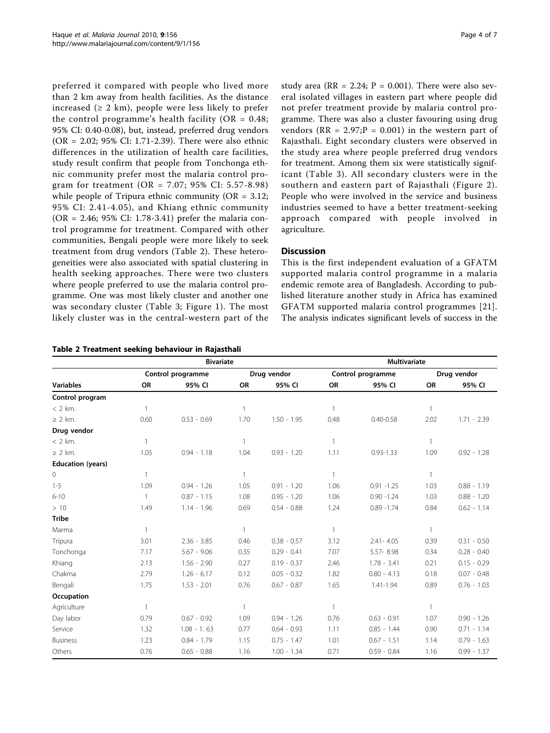preferred it compared with people who lived more than 2 km away from health facilities. As the distance increased  $(≥ 2 km)$ , people were less likely to prefer the control programme's health facility ( $OR = 0.48$ ; 95% CI: 0.40-0.08), but, instead, preferred drug vendors (OR = 2.02; 95% CI: 1.71-2.39). There were also ethnic differences in the utilization of health care facilities, study result confirm that people from Tonchonga ethnic community prefer most the malaria control program for treatment (OR = 7.07; 95% CI: 5.57-8.98) while people of Tripura ethnic community (OR = 3.12; 95% CI: 2.41-4.05), and Khiang ethnic community (OR = 2.46; 95% CI: 1.78-3.41) prefer the malaria control programme for treatment. Compared with other communities, Bengali people were more likely to seek treatment from drug vendors (Table 2). These heterogeneities were also associated with spatial clustering in health seeking approaches. There were two clusters where people preferred to use the malaria control programme. One was most likely cluster and another one was secondary cluster (Table [3](#page-4-0); Figure [1](#page-4-0)). The most likely cluster was in the central-western part of the

| Table 2 Treatment seeking behaviour in Rajasthali |  |  |  |  |  |
|---------------------------------------------------|--|--|--|--|--|
|---------------------------------------------------|--|--|--|--|--|

study area ( $RR = 2.24$ ;  $P = 0.001$ ). There were also several isolated villages in eastern part where people did not prefer treatment provide by malaria control programme. There was also a cluster favouring using drug vendors ( $RR = 2.97; P = 0.001$ ) in the western part of Rajasthali. Eight secondary clusters were observed in the study area where people preferred drug vendors for treatment. Among them six were statistically significant (Table [3\)](#page-4-0). All secondary clusters were in the southern and eastern part of Rajasthali (Figure [2\)](#page-4-0). People who were involved in the service and business industries seemed to have a better treatment-seeking approach compared with people involved in agriculture.

# **Discussion**

This is the first independent evaluation of a GFATM supported malaria control programme in a malaria endemic remote area of Bangladesh. According to published literature another study in Africa has examined GFATM supported malaria control programmes [[21\]](#page-6-0). The analysis indicates significant levels of success in the

|                          | <b>Bivariate</b>  |               |              |               | <b>Multivariate</b> |               |              |               |
|--------------------------|-------------------|---------------|--------------|---------------|---------------------|---------------|--------------|---------------|
|                          | Control programme |               | Drug vendor  |               | Control programme   |               | Drug vendor  |               |
| <b>Variables</b>         | <b>OR</b>         | 95% CI        | <b>OR</b>    | 95% CI        | <b>OR</b>           | 95% CI        | <b>OR</b>    | 95% CI        |
| Control program          |                   |               |              |               |                     |               |              |               |
| $<$ 2 km.                | $\mathbf{1}$      |               | $\mathbf{1}$ |               |                     |               | $\mathbf{1}$ |               |
| $\geq$ 2 km.             | 0.60              | $0.53 - 0.69$ | 1.70         | $1.50 - 1.95$ | 0.48                | $0.40 - 0.58$ | 2.02         | $1.71 - 2.39$ |
| Drug vendor              |                   |               |              |               |                     |               |              |               |
| $<$ 2 km.                | 1                 |               | 1            |               | $\overline{1}$      |               | $\mathbf{1}$ |               |
| $\geq$ 2 km.             | 1.05              | $0.94 - 1.18$ | 1.04         | $0.93 - 1.20$ | 1.11                | $0.93 - 1.33$ | 1.09         | $0.92 - 1.28$ |
| <b>Education (years)</b> |                   |               |              |               |                     |               |              |               |
| 0                        | 1                 |               | $\mathbf{1}$ |               | $\mathbf{1}$        |               | $\mathbf{1}$ |               |
| $1 - 5$                  | 1.09              | $0.94 - 1.26$ | 1.05         | $0.91 - 1.20$ | 1.06                | $0.91 - 1.25$ | 1.03         | $0.88 - 1.19$ |
| $6 - 10$                 | 1                 | $0.87 - 1.15$ | 1.08         | $0.95 - 1.20$ | 1.06                | $0.90 - 1.24$ | 1.03         | $0.88 - 1.20$ |
| >10                      | 1.49              | $1.14 - 1.96$ | 0.69         | $0.54 - 0.88$ | 1.24                | $0.89 - 1.74$ | 0.84         | $0.62 - 1.14$ |
| <b>Tribe</b>             |                   |               |              |               |                     |               |              |               |
| Marma                    | 1                 |               | $\mathbf{1}$ |               | $\overline{1}$      |               | $\mathbf{1}$ |               |
| Tripura                  | 3.01              | $2.36 - 3.85$ | 0.46         | $0.38 - 0.57$ | 3.12                | $2.41 - 4.05$ | 0.39         | $0.31 - 0.50$ |
| Tonchonga                | 7.17              | $5.67 - 9.06$ | 0.35         | $0.29 - 0.41$ | 7.07                | 5.57-8.98     | 0.34         | $0.28 - 0.40$ |
| Khiang                   | 2.13              | $1.56 - 2.90$ | 0.27         | $0.19 - 0.37$ | 2.46                | $1.78 - 3.41$ | 0.21         | $0.15 - 0.29$ |
| Chakma                   | 2.79              | $1.26 - 6.17$ | 0.12         | $0.05 - 0.32$ | 1.82                | $0.80 - 4.13$ | 0.18         | $0.07 - 0.48$ |
| Bengali                  | 1.75              | $1.53 - 2.01$ | 0.76         | $0.67 - 0.87$ | 1.65                | 1.41-1.94     | 0.89         | $0.76 - 1.03$ |
| Occupation               |                   |               |              |               |                     |               |              |               |
| Agriculture              | 1                 |               | $\mathbf{1}$ |               | $\overline{1}$      |               | $\mathbf{1}$ |               |
| Day labor                | 0.79              | $0.67 - 0.92$ | 1.09         | $0.94 - 1.26$ | 0.76                | $0.63 - 0.91$ | 1.07         | $0.90 - 1.26$ |
| Service                  | 1.32              | $1.08 - 1.63$ | 0.77         | $0.64 - 0.93$ | 1.11                | $0.85 - 1.44$ | 0.90         | $0.71 - 1.14$ |
| <b>Business</b>          | 1.23              | $0.84 - 1.79$ | 1.15         | $0.75 - 1.47$ | 1.01                | $0.67 - 1.51$ | 1.14         | $0.79 - 1.63$ |
| Others                   | 0.76              | $0.65 - 0.88$ | 1.16         | $1.00 - 1.34$ | 0.71                | $0.59 - 0.84$ | 1.16         | $0.99 - 1.37$ |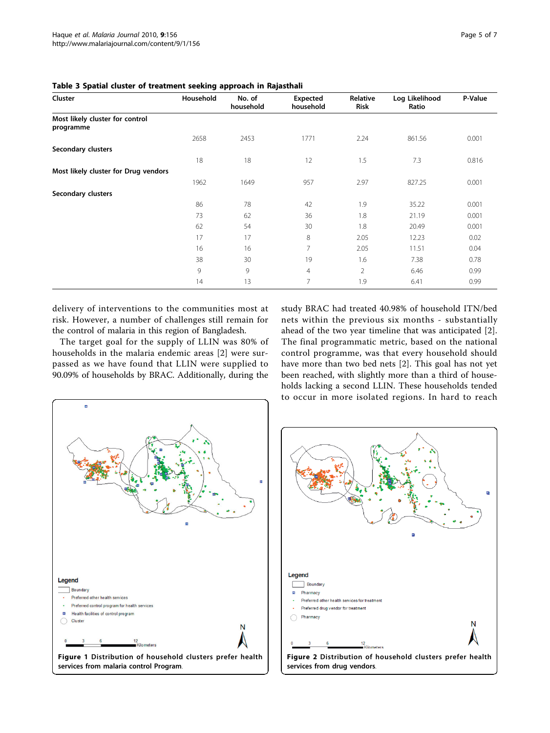| Cluster                                      | Household | No. of<br>household | Expected<br>household | Relative<br><b>Risk</b> | Log Likelihood<br>Ratio | P-Value |
|----------------------------------------------|-----------|---------------------|-----------------------|-------------------------|-------------------------|---------|
| Most likely cluster for control<br>programme |           |                     |                       |                         |                         |         |
|                                              | 2658      | 2453                | 1771                  | 2.24                    | 861.56                  | 0.001   |
| Secondary clusters                           |           |                     |                       |                         |                         |         |
|                                              | 18        | 18                  | 12                    | 1.5                     | 7.3                     | 0.816   |
| Most likely cluster for Drug vendors         |           |                     |                       |                         |                         |         |
|                                              | 1962      | 1649                | 957                   | 2.97                    | 827.25                  | 0.001   |
| Secondary clusters                           |           |                     |                       |                         |                         |         |
|                                              | 86        | 78                  | 42                    | 1.9                     | 35.22                   | 0.001   |
|                                              | 73        | 62                  | 36                    | 1.8                     | 21.19                   | 0.001   |
|                                              | 62        | 54                  | 30                    | 1.8                     | 20.49                   | 0.001   |
|                                              | 17        | 17                  | 8                     | 2.05                    | 12.23                   | 0.02    |
|                                              | 16        | 16                  | 7                     | 2.05                    | 11.51                   | 0.04    |
|                                              | 38        | 30                  | 19                    | 1.6                     | 7.38                    | 0.78    |
|                                              | 9         | 9                   | $\overline{4}$        | $\overline{2}$          | 6.46                    | 0.99    |
|                                              | 14        | 13                  | $\overline{7}$        | 1.9                     | 6.41                    | 0.99    |

<span id="page-4-0"></span>Table 3 Spatial cluster of treatment seeking approach in Rajasthali

delivery of interventions to the communities most at risk. However, a number of challenges still remain for the control of malaria in this region of Bangladesh.

The target goal for the supply of LLIN was 80% of households in the malaria endemic areas [\[2](#page-6-0)] were surpassed as we have found that LLIN were supplied to 90.09% of households by BRAC. Additionally, during the study BRAC had treated 40.98% of household ITN/bed nets within the previous six months - substantially ahead of the two year timeline that was anticipated [\[2](#page-6-0)]. The final programmatic metric, based on the national control programme, was that every household should have more than two bed nets [\[2](#page-6-0)]. This goal has not yet been reached, with slightly more than a third of households lacking a second LLIN. These households tended to occur in more isolated regions. In hard to reach



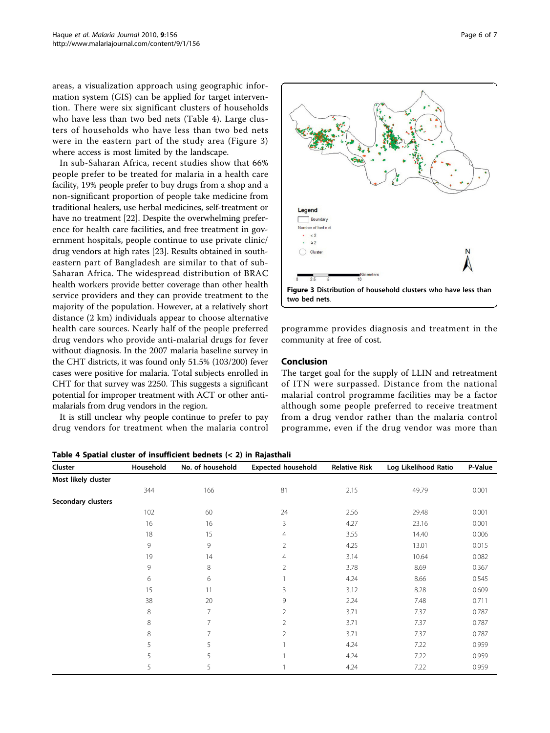areas, a visualization approach using geographic information system (GIS) can be applied for target intervention. There were six significant clusters of households who have less than two bed nets (Table 4). Large clusters of households who have less than two bed nets were in the eastern part of the study area (Figure 3) where access is most limited by the landscape.

In sub-Saharan Africa, recent studies show that 66% people prefer to be treated for malaria in a health care facility, 19% people prefer to buy drugs from a shop and a non-significant proportion of people take medicine from traditional healers, use herbal medicines, self-treatment or have no treatment [[22](#page-6-0)]. Despite the overwhelming preference for health care facilities, and free treatment in government hospitals, people continue to use private clinic/ drug vendors at high rates [[23](#page-6-0)]. Results obtained in southeastern part of Bangladesh are similar to that of sub-Saharan Africa. The widespread distribution of BRAC health workers provide better coverage than other health service providers and they can provide treatment to the majority of the population. However, at a relatively short distance (2 km) individuals appear to choose alternative health care sources. Nearly half of the people preferred drug vendors who provide anti-malarial drugs for fever without diagnosis. In the 2007 malaria baseline survey in the CHT districts, it was found only 51.5% (103/200) fever cases were positive for malaria. Total subjects enrolled in CHT for that survey was 2250. This suggests a significant potential for improper treatment with ACT or other antimalarials from drug vendors in the region.

It is still unclear why people continue to prefer to pay drug vendors for treatment when the malaria control



programme provides diagnosis and treatment in the community at free of cost.

#### Conclusion

The target goal for the supply of LLIN and retreatment of ITN were surpassed. Distance from the national malarial control programme facilities may be a factor although some people preferred to receive treatment from a drug vendor rather than the malaria control programme, even if the drug vendor was more than

| Cluster             | Household | No. of household | <b>Expected household</b> | <b>Relative Risk</b> | Log Likelihood Ratio | P-Value |
|---------------------|-----------|------------------|---------------------------|----------------------|----------------------|---------|
| Most likely cluster |           |                  |                           |                      |                      |         |
|                     | 344       | 166              | 81                        | 2.15                 | 49.79                | 0.001   |
| Secondary clusters  |           |                  |                           |                      |                      |         |
|                     | 102       | 60               | 24                        | 2.56                 | 29.48                | 0.001   |
|                     | 16        | 16               | 3                         | 4.27                 | 23.16                | 0.001   |
|                     | 18        | 15               | 4                         | 3.55                 | 14.40                | 0.006   |
|                     | 9         | 9                | 2                         | 4.25                 | 13.01                | 0.015   |
|                     | 19        | 14               | 4                         | 3.14                 | 10.64                | 0.082   |
|                     | 9         | 8                | $\overline{2}$            | 3.78                 | 8.69                 | 0.367   |
|                     | 6         | 6                |                           | 4.24                 | 8.66                 | 0.545   |
|                     | 15        | 11               | 3                         | 3.12                 | 8.28                 | 0.609   |
|                     | 38        | 20               | 9                         | 2.24                 | 7.48                 | 0.711   |
|                     | 8         | 7                | 2                         | 3.71                 | 7.37                 | 0.787   |
|                     | 8         | 7                | 2                         | 3.71                 | 7.37                 | 0.787   |
|                     | $\,8\,$   | 7                | $\overline{2}$            | 3.71                 | 7.37                 | 0.787   |
|                     | 5         | 5                |                           | 4.24                 | 7.22                 | 0.959   |
|                     | 5         | 5                |                           | 4.24                 | 7.22                 | 0.959   |
|                     | 5         | 5                |                           | 4.24                 | 7.22                 | 0.959   |

Table 4 Spatial cluster of insufficient bednets (< 2) in Rajasthali